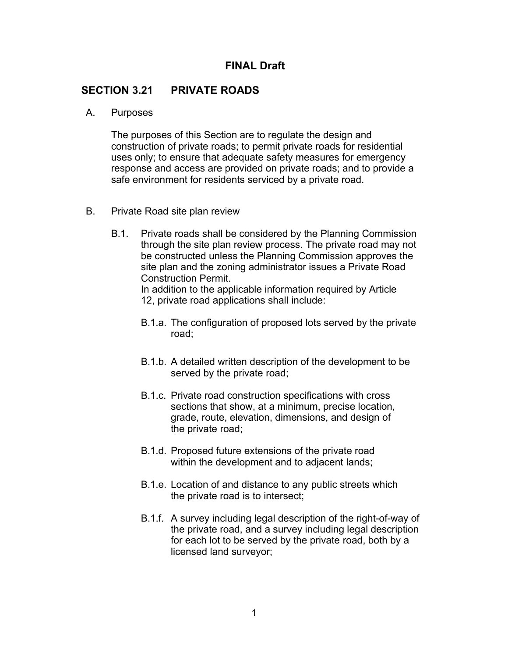## **FINAL Draft**

## **SECTION 3.21 PRIVATE ROADS**

## A. Purposes

The purposes of this Section are to regulate the design and construction of private roads; to permit private roads for residential uses only; to ensure that adequate safety measures for emergency response and access are provided on private roads; and to provide a safe environment for residents serviced by a private road.

- B. Private Road site plan review
	- B.1. Private roads shall be considered by the Planning Commission through the site plan review process. The private road may not be constructed unless the Planning Commission approves the site plan and the zoning administrator issues a Private Road Construction Permit.

In addition to the applicable information required by Article 12, private road applications shall include:

- B.1.a. The configuration of proposed lots served by the private road;
- B.1.b. A detailed written description of the development to be served by the private road;
- B.1.c. Private road construction specifications with cross sections that show, at a minimum, precise location, grade, route, elevation, dimensions, and design of the private road;
- B.1.d. Proposed future extensions of the private road within the development and to adjacent lands;
- B.1.e. Location of and distance to any public streets which the private road is to intersect;
- B.1.f. A survey including legal description of the right-of-way of the private road, and a survey including legal description for each lot to be served by the private road, both by a licensed land surveyor;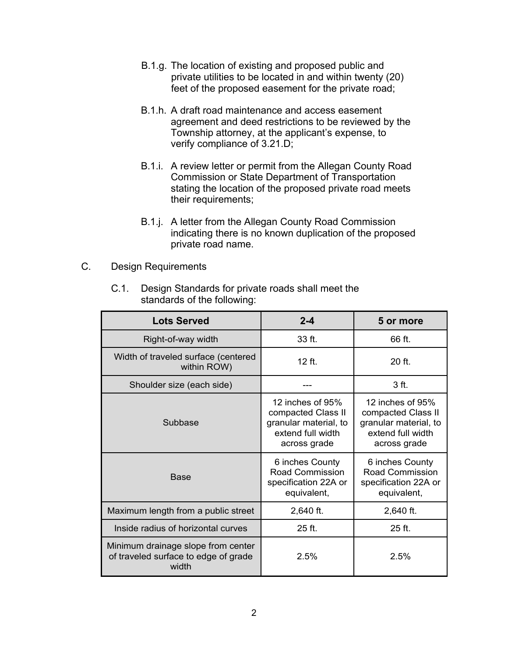- B.1.g. The location of existing and proposed public and private utilities to be located in and within twenty (20) feet of the proposed easement for the private road;
- B.1.h. A draft road maintenance and access easement agreement and deed restrictions to be reviewed by the Township attorney, at the applicant's expense, to verify compliance of 3.21.D;
- B.1.i. A review letter or permit from the Allegan County Road Commission or State Department of Transportation stating the location of the proposed private road meets their requirements;
- B.1.j. A letter from the Allegan County Road Commission indicating there is no known duplication of the proposed private road name.
- C. Design Requirements
	- C.1. Design Standards for private roads shall meet the standards of the following:

| <b>Lots Served</b>                                                                  | $2 - 4$                                                                                                | 5 or more                                                                                              |
|-------------------------------------------------------------------------------------|--------------------------------------------------------------------------------------------------------|--------------------------------------------------------------------------------------------------------|
| Right-of-way width                                                                  | 33 ft.                                                                                                 | 66 ft.                                                                                                 |
| Width of traveled surface (centered<br>within ROW)                                  | $12$ ft.                                                                                               | $20$ ft.                                                                                               |
| Shoulder size (each side)                                                           |                                                                                                        | 3 ft.                                                                                                  |
| Subbase                                                                             | 12 inches of $95%$<br>compacted Class II<br>granular material, to<br>extend full width<br>across grade | 12 inches of $95%$<br>compacted Class II<br>granular material, to<br>extend full width<br>across grade |
| <b>Base</b>                                                                         | 6 inches County<br>Road Commission<br>specification 22A or<br>equivalent,                              | 6 inches County<br>Road Commission<br>specification 22A or<br>equivalent,                              |
| Maximum length from a public street                                                 | 2,640 ft.                                                                                              | 2,640 ft.                                                                                              |
| Inside radius of horizontal curves                                                  | $25$ ft.                                                                                               | $25$ ft.                                                                                               |
| Minimum drainage slope from center<br>of traveled surface to edge of grade<br>width | 2.5%                                                                                                   | 2.5%                                                                                                   |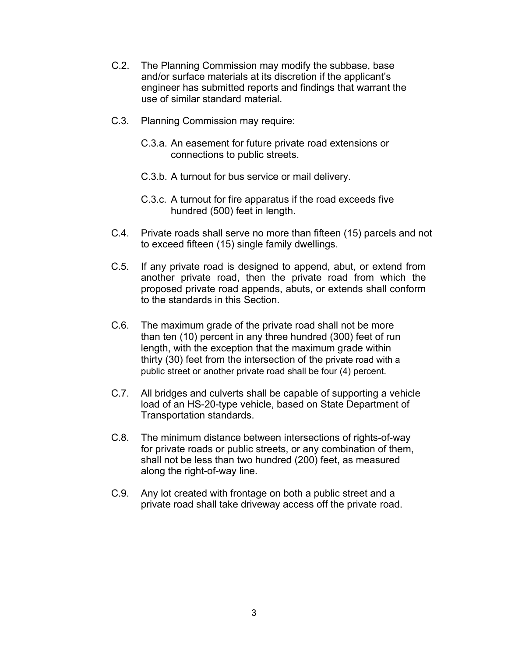- C.2. The Planning Commission may modify the subbase, base and/or surface materials at its discretion if the applicant's engineer has submitted reports and findings that warrant the use of similar standard material.
- C.3. Planning Commission may require:
	- C.3.a. An easement for future private road extensions or connections to public streets.
	- C.3.b. A turnout for bus service or mail delivery.
	- C.3.c. A turnout for fire apparatus if the road exceeds five hundred (500) feet in length.
- C.4. Private roads shall serve no more than fifteen (15) parcels and not to exceed fifteen (15) single family dwellings.
- C.5. If any private road is designed to append, abut, or extend from another private road, then the private road from which the proposed private road appends, abuts, or extends shall conform to the standards in this Section.
- C.6. The maximum grade of the private road shall not be more than ten (10) percent in any three hundred (300) feet of run length, with the exception that the maximum grade within thirty (30) feet from the intersection of the private road with a public street or another private road shall be four (4) percent.
- C.7. All bridges and culverts shall be capable of supporting a vehicle load of an HS-20-type vehicle, based on State Department of Transportation standards.
- C.8. The minimum distance between intersections of rights-of-way for private roads or public streets, or any combination of them, shall not be less than two hundred (200) feet, as measured along the right-of-way line.
- C.9. Any lot created with frontage on both a public street and a private road shall take driveway access off the private road.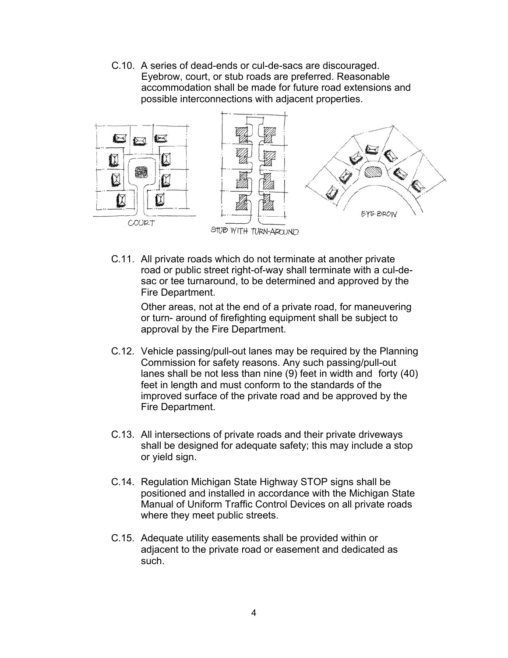C.10. A series of dead-ends or cul-de-sacs are discouraged. Eyebrow, court, or stub roads are preferred. Reasonable accommodation shall be made for future road extensions and possible interconnections with adjacent properties.



C.11. All private roads which do not terminate at another private road or public street right-of-way shall terminate with a cul-desac or tee turnaround, to be determined and approved by the Fire Department.

Other areas, not at the end of a private road, for maneuvering or turn- around of firefighting equipment shall be subject to approval by the Fire Department.

- C.12. Vehicle passing/pull-out lanes may be required by the Planning Commission for safety reasons. Any such passing/pull-out lanes shall be not less than nine (9) feet in width and forty (40) feet in length and must conform to the standards of the improved surface of the private road and be approved by the Fire Department.
- C.13. All intersections of private roads and their private driveways shall be designed for adequate safety; this may include a stop or yield sign.
- C.14. Regulation Michigan State Highway STOP signs shall be positioned and installed in accordance with the Michigan State Manual of Uniform Traffic Control Devices on all private roads where they meet public streets.
- C.15. Adequate utility easements shall be provided within or adjacent to the private road or easement and dedicated as such.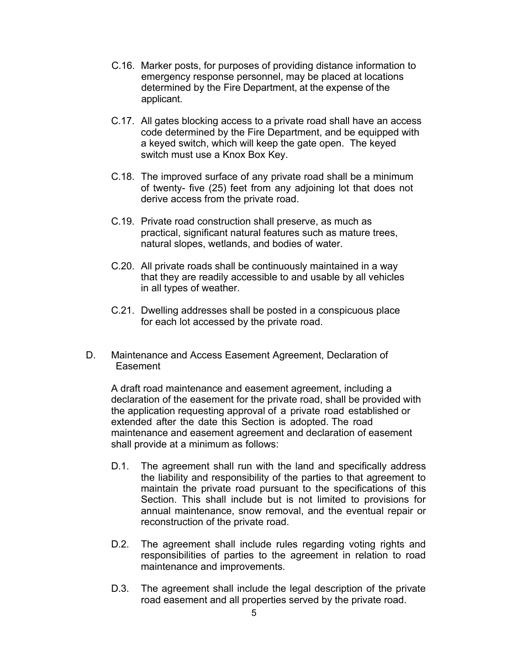- C.16. Marker posts, for purposes of providing distance information to emergency response personnel, may be placed at locations determined by the Fire Department, at the expense of the applicant.
- C.17. All gates blocking access to a private road shall have an access code determined by the Fire Department, and be equipped with a keyed switch, which will keep the gate open. The keyed switch must use a Knox Box Key.
- C.18. The improved surface of any private road shall be a minimum of twenty- five (25) feet from any adjoining lot that does not derive access from the private road.
- C.19. Private road construction shall preserve, as much as practical, significant natural features such as mature trees, natural slopes, wetlands, and bodies of water.
- C.20. All private roads shall be continuously maintained in a way that they are readily accessible to and usable by all vehicles in all types of weather.
- C.21. Dwelling addresses shall be posted in a conspicuous place for each lot accessed by the private road.
- D. Maintenance and Access Easement Agreement, Declaration of **Easement**

A draft road maintenance and easement agreement, including a declaration of the easement for the private road, shall be provided with the application requesting approval of a private road established or extended after the date this Section is adopted. The road maintenance and easement agreement and declaration of easement shall provide at a minimum as follows:

- D.1. The agreement shall run with the land and specifically address the liability and responsibility of the parties to that agreement to maintain the private road pursuant to the specifications of this Section. This shall include but is not limited to provisions for annual maintenance, snow removal, and the eventual repair or reconstruction of the private road.
- D.2. The agreement shall include rules regarding voting rights and responsibilities of parties to the agreement in relation to road maintenance and improvements.
- D.3. The agreement shall include the legal description of the private road easement and all properties served by the private road.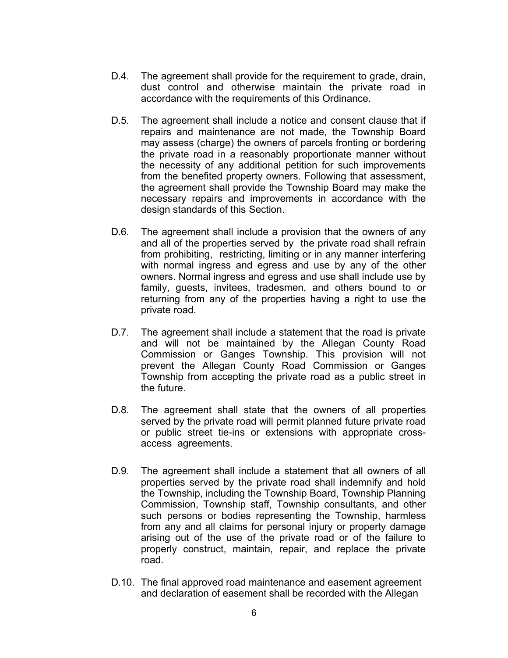- D.4. The agreement shall provide for the requirement to grade, drain, dust control and otherwise maintain the private road in accordance with the requirements of this Ordinance.
- D.5. The agreement shall include a notice and consent clause that if repairs and maintenance are not made, the Township Board may assess (charge) the owners of parcels fronting or bordering the private road in a reasonably proportionate manner without the necessity of any additional petition for such improvements from the benefited property owners. Following that assessment, the agreement shall provide the Township Board may make the necessary repairs and improvements in accordance with the design standards of this Section.
- D.6. The agreement shall include a provision that the owners of any and all of the properties served by the private road shall refrain from prohibiting, restricting, limiting or in any manner interfering with normal ingress and egress and use by any of the other owners. Normal ingress and egress and use shall include use by family, guests, invitees, tradesmen, and others bound to or returning from any of the properties having a right to use the private road.
- D.7. The agreement shall include a statement that the road is private and will not be maintained by the Allegan County Road Commission or Ganges Township. This provision will not prevent the Allegan County Road Commission or Ganges Township from accepting the private road as a public street in the future.
- D.8. The agreement shall state that the owners of all properties served by the private road will permit planned future private road or public street tie-ins or extensions with appropriate crossaccess agreements.
- D.9. The agreement shall include a statement that all owners of all properties served by the private road shall indemnify and hold the Township, including the Township Board, Township Planning Commission, Township staff, Township consultants, and other such persons or bodies representing the Township, harmless from any and all claims for personal injury or property damage arising out of the use of the private road or of the failure to properly construct, maintain, repair, and replace the private road.
- D.10. The final approved road maintenance and easement agreement and declaration of easement shall be recorded with the Allegan